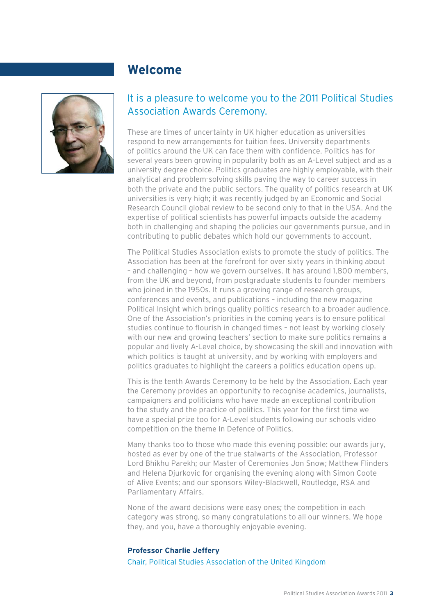## **Welcome**



## It is a pleasure to welcome you to the 2011 Political Studies Association Awards Ceremony.

These are times of uncertainty in UK higher education as universities respond to new arrangements for tuition fees. University departments of politics around the UK can face them with confidence. Politics has for several years been growing in popularity both as an A-Level subject and as a university degree choice. Politics graduates are highly employable, with their analytical and problem-solving skills paving the way to career success in both the private and the public sectors. The quality of politics research at UK universities is very high; it was recently judged by an Economic and Social Research Council global review to be second only to that in the USA. And the expertise of political scientists has powerful impacts outside the academy both in challenging and shaping the policies our governments pursue, and in contributing to public debates which hold our governments to account.

The Political Studies Association exists to promote the study of politics. The Association has been at the forefront for over sixty years in thinking about – and challenging – how we govern ourselves. It has around 1,800 members, from the UK and beyond, from postgraduate students to founder members who joined in the 1950s. It runs a growing range of research groups, conferences and events, and publications – including the new magazine Political Insight which brings quality politics research to a broader audience. One of the Association's priorities in the coming years is to ensure political studies continue to flourish in changed times - not least by working closely with our new and growing teachers' section to make sure politics remains a popular and lively A-Level choice, by showcasing the skill and innovation with which politics is taught at university, and by working with employers and politics graduates to highlight the careers a politics education opens up.

This is the tenth Awards Ceremony to be held by the Association. Each year the Ceremony provides an opportunity to recognise academics, journalists, campaigners and politicians who have made an exceptional contribution to the study and the practice of politics. This year for the first time we have a special prize too for A-Level students following our schools video competition on the theme In Defence of Politics.

Many thanks too to those who made this evening possible: our awards jury, hosted as ever by one of the true stalwarts of the Association, Professor Lord Bhikhu Parekh; our Master of Ceremonies Jon Snow; Matthew Flinders and Helena Djurkovic for organising the evening along with Simon Coote of Alive Events; and our sponsors Wiley-Blackwell, Routledge, RSA and Parliamentary Affairs.

None of the award decisions were easy ones; the competition in each category was strong, so many congratulations to all our winners. We hope they, and you, have a thoroughly enjoyable evening.

#### **Professor Charlie Jeffery**

Chair, Political Studies Association of the United Kingdom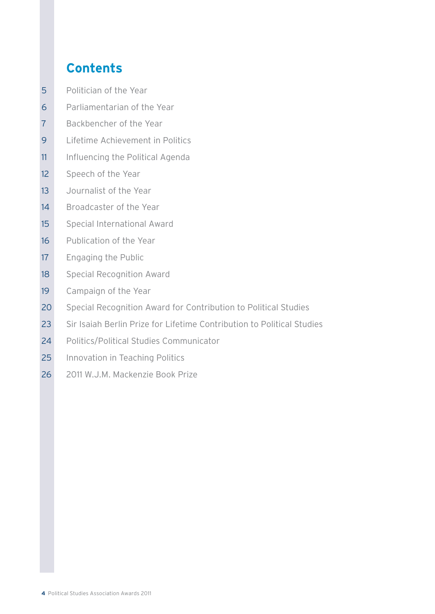## **Contents**

- 5 Politician of the Year
- 6 Parliamentarian of the Year
- 7 Backbencher of the Year
- 9 Lifetime Achievement in Politics
- 11 Influencing the Political Agenda
- 12 Speech of the Year
- 13 Journalist of the Year
- 14 Broadcaster of the Year
- 15 Special International Award
- 16 Publication of the Year
- 17 Engaging the Public
- 18 Special Recognition Award
- 19 Campaign of the Year
- 20 Special Recognition Award for Contribution to Political Studies
- 23 Sir Isaiah Berlin Prize for Lifetime Contribution to Political Studies
- 24 Politics/Political Studies Communicator
- 25 Innovation in Teaching Politics
- 26 2011 W.J.M. Mackenzie Book Prize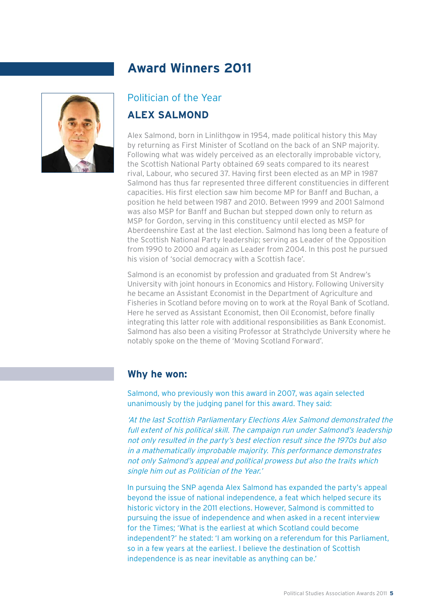

## Politician of the Year **ALEX SALMOND**

Alex Salmond, born in Linlithgow in 1954, made political history this May by returning as First Minister of Scotland on the back of an SNP majority. Following what was widely perceived as an electorally improbable victory, the Scottish National Party obtained 69 seats compared to its nearest rival, Labour, who secured 37. Having first been elected as an MP in 1987 Salmond has thus far represented three different constituencies in different capacities. His first election saw him become MP for Banff and Buchan, a position he held between 1987 and 2010. Between 1999 and 2001 Salmond was also MSP for Banff and Buchan but stepped down only to return as MSP for Gordon, serving in this constituency until elected as MSP for Aberdeenshire East at the last election. Salmond has long been a feature of the Scottish National Party leadership; serving as Leader of the Opposition from 1990 to 2000 and again as Leader from 2004. In this post he pursued his vision of 'social democracy with a Scottish face'.

Salmond is an economist by profession and graduated from St Andrew's University with joint honours in Economics and History. Following University he became an Assistant Economist in the Department of Agriculture and Fisheries in Scotland before moving on to work at the Royal Bank of Scotland. Here he served as Assistant Economist, then Oil Economist, before finally integrating this latter role with additional responsibilities as Bank Economist. Salmond has also been a visiting Professor at Strathclyde University where he notably spoke on the theme of 'Moving Scotland Forward'.

#### **Why he won:**

Salmond, who previously won this award in 2007, was again selected unanimously by the judging panel for this award. They said:

'At the last Scottish Parliamentary Elections Alex Salmond demonstrated the full extent of his political skill. The campaign run under Salmond's leadership not only resulted in the party's best election result since the 1970s but also in a mathematically improbable majority. This performance demonstrates not only Salmond's appeal and political prowess but also the traits which single him out as Politician of the Year.'

In pursuing the SNP agenda Alex Salmond has expanded the party's appeal beyond the issue of national independence, a feat which helped secure its historic victory in the 2011 elections. However, Salmond is committed to pursuing the issue of independence and when asked in a recent interview for the Times; 'What is the earliest at which Scotland could become independent?' he stated: 'I am working on a referendum for this Parliament, so in a few years at the earliest. I believe the destination of Scottish independence is as near inevitable as anything can be.'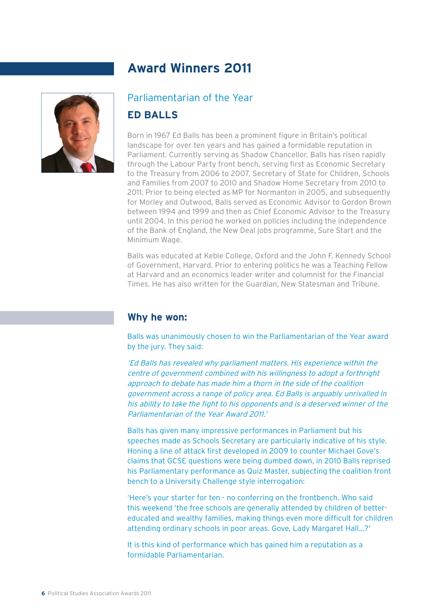

## Parliamentarian of the Year

## **ED BALLS**

Born in 1967 Ed Balls has been a prominent figure in Britain's political landscape for over ten years and has gained a formidable reputation in Parliament. Currently serving as Shadow Chancellor, Balls has risen rapidly through the Labour Party front bench, serving first as Economic Secretary to the Treasury from 2006 to 2007, Secretary of State for Children, Schools and Families from 2007 to 2010 and Shadow Home Secretary from 2010 to 2011. Prior to being elected as MP for Normanton in 2005, and subsequently for Morley and Outwood, Balls served as Economic Advisor to Gordon Brown between 1994 and 1999 and then as Chief Economic Advisor to the Treasury until 2004. In this period he worked on policies including the independence of the Bank of England, the New Deal jobs programme, Sure Start and the Minimum Wage.

Balls was educated at Keble College, Oxford and the John F. Kennedy School of Government, Harvard. Prior to entering politics he was a Teaching Fellow at Harvard and an economics leader writer and columnist for the Financial Times. He has also written for the Guardian, New Statesman and Tribune.

#### **Why he won:**

Balls was unanimously chosen to win the Parliamentarian of the Year award by the jury. They said:

'Ed Balls has revealed why parliament matters. His experience within the centre of government combined with his willingness to adopt a forthright approach to debate has made him a thorn in the side of the coalition government across a range of policy area. Ed Balls is arguably unrivalled in his ability to take the fight to his opponents and is a deserved winner of the Parliamentarian of the Year Award 2011.'

Balls has given many impressive performances in Parliament but his speeches made as Schools Secretary are particularly indicative of his style. Honing a line of attack first developed in 2009 to counter Michael Gove's claims that GCSE questions were being dumbed down, in 2010 Balls reprised his Parliamentary performance as Quiz Master, subjecting the coalition front bench to a University Challenge style interrogation:

'Here's your starter for ten - no conferring on the frontbench. Who said this weekend 'the free schools are generally attended by children of bettereducated and wealthy families, making things even more difficult for children attending ordinary schools in poor areas. Gove, Lady Margaret Hall...?'

It is this kind of performance which has gained him a reputation as a formidable Parliamentarian.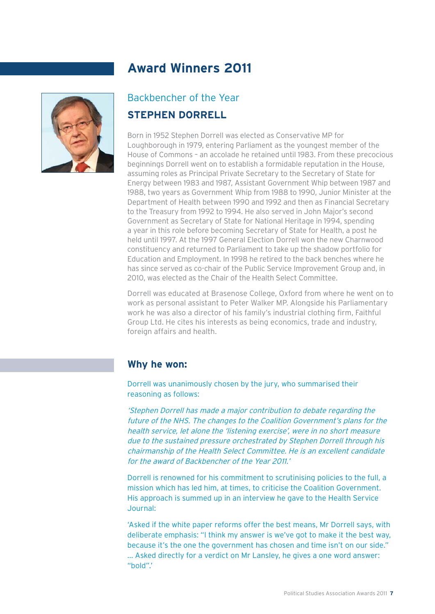

## Backbencher of the Year **STEPHEN DORRELL**

Born in 1952 Stephen Dorrell was elected as Conservative MP for Loughborough in 1979, entering Parliament as the youngest member of the House of Commons – an accolade he retained until 1983. From these precocious beginnings Dorrell went on to establish a formidable reputation in the House, assuming roles as Principal Private Secretary to the Secretary of State for Energy between 1983 and 1987, Assistant Government Whip between 1987 and 1988, two years as Government Whip from 1988 to 1990, Junior Minister at the Department of Health between 1990 and 1992 and then as Financial Secretary to the Treasury from 1992 to 1994. He also served in John Major's second Government as Secretary of State for National Heritage in 1994, spending a year in this role before becoming Secretary of State for Health, a post he held until 1997. At the 1997 General Election Dorrell won the new Charnwood constituency and returned to Parliament to take up the shadow portfolio for Education and Employment. In 1998 he retired to the back benches where he has since served as co-chair of the Public Service Improvement Group and, in 2010, was elected as the Chair of the Health Select Committee.

Dorrell was educated at Brasenose College, Oxford from where he went on to work as personal assistant to Peter Walker MP. Alongside his Parliamentary work he was also a director of his family's industrial clothing firm, Faithful Group Ltd. He cites his interests as being economics, trade and industry, foreign affairs and health.

#### **Why he won:**

Dorrell was unanimously chosen by the jury, who summarised their reasoning as follows:

'Stephen Dorrell has made a major contribution to debate regarding the future of the NHS. The changes to the Coalition Government's plans for the health service, let alone the 'listening exercise', were in no short measure due to the sustained pressure orchestrated by Stephen Dorrell through his chairmanship of the Health Select Committee. He is an excellent candidate for the award of Backbencher of the Year 2011.'

Dorrell is renowned for his commitment to scrutinising policies to the full, a mission which has led him, at times, to criticise the Coalition Government. His approach is summed up in an interview he gave to the Health Service Journal:

'Asked if the white paper reforms offer the best means, Mr Dorrell says, with deliberate emphasis: "I think my answer is we've got to make it the best way, because it's the one the government has chosen and time isn't on our side." ... Asked directly for a verdict on Mr Lansley, he gives a one word answer: "bold".'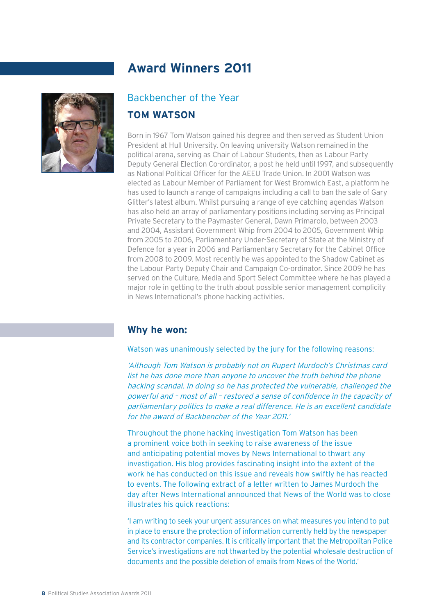

## Backbencher of the Year

#### **TOM WATSON**

Born in 1967 Tom Watson gained his degree and then served as Student Union President at Hull University. On leaving university Watson remained in the political arena, serving as Chair of Labour Students, then as Labour Party Deputy General Election Co-ordinator, a post he held until 1997, and subsequently as National Political Officer for the AFFU Trade Union. In 2001 Watson was elected as Labour Member of Parliament for West Bromwich East, a platform he has used to launch a range of campaigns including a call to ban the sale of Gary Glitter's latest album. Whilst pursuing a range of eye catching agendas Watson has also held an array of parliamentary positions including serving as Principal Private Secretary to the Paymaster General, Dawn Primarolo, between 2003 and 2004, Assistant Government Whip from 2004 to 2005, Government Whip from 2005 to 2006, Parliamentary Under-Secretary of State at the Ministry of Defence for a year in 2006 and Parliamentary Secretary for the Cabinet Office from 2008 to 2009. Most recently he was appointed to the Shadow Cabinet as the Labour Party Deputy Chair and Campaign Co-ordinator. Since 2009 he has served on the Culture, Media and Sport Select Committee where he has played a major role in getting to the truth about possible senior management complicity in News International's phone hacking activities.

## **Why he won:**

#### Watson was unanimously selected by the jury for the following reasons:

'Although Tom Watson is probably not on Rupert Murdoch's Christmas card list he has done more than anyone to uncover the truth behind the phone hacking scandal. In doing so he has protected the vulnerable, challenged the powerful and - most of all - restored a sense of confidence in the capacity of parliamentary politics to make a real difference. He is an excellent candidate for the award of Backbencher of the Year 2011.'

Throughout the phone hacking investigation Tom Watson has been a prominent voice both in seeking to raise awareness of the issue and anticipating potential moves by News International to thwart any investigation. His blog provides fascinating insight into the extent of the work he has conducted on this issue and reveals how swiftly he has reacted to events. The following extract of a letter written to James Murdoch the day after News International announced that News of the World was to close illustrates his quick reactions:

'I am writing to seek your urgent assurances on what measures you intend to put in place to ensure the protection of information currently held by the newspaper and its contractor companies. It is critically important that the Metropolitan Police Service's investigations are not thwarted by the potential wholesale destruction of documents and the possible deletion of emails from News of the World.'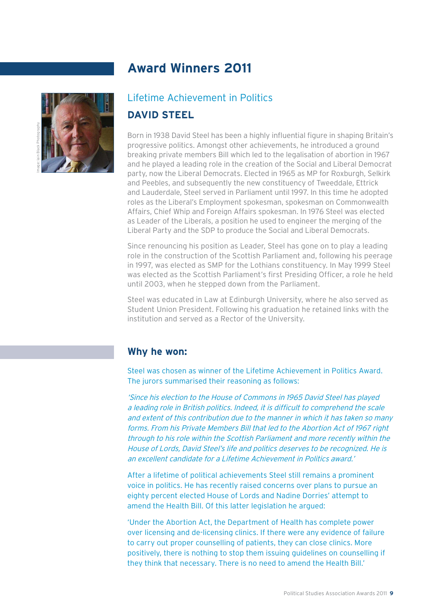

## Lifetime Achievement in Politics **DAVID STEEL**

Born in 1938 David Steel has been a highly influential figure in shaping Britain's progressive politics. Amongst other achievements, he introduced a ground breaking private members Bill which led to the legalisation of abortion in 1967 and he played a leading role in the creation of the Social and Liberal Democrat party, now the Liberal Democrats. Elected in 1965 as MP for Roxburgh, Selkirk and Peebles, and subsequently the new constituency of Tweeddale, Ettrick and Lauderdale, Steel served in Parliament until 1997. In this time he adopted roles as the Liberal's Employment spokesman, spokesman on Commonwealth Affairs, Chief Whip and Foreign Affairs spokesman. In 1976 Steel was elected as Leader of the Liberals, a position he used to engineer the merging of the Liberal Party and the SDP to produce the Social and Liberal Democrats.

Since renouncing his position as Leader, Steel has gone on to play a leading role in the construction of the Scottish Parliament and, following his peerage in 1997, was elected as SMP for the Lothians constituency. In May 1999 Steel was elected as the Scottish Parliament's first Presiding Officer, a role he held until 2003, when he stepped down from the Parliament.

Steel was educated in Law at Edinburgh University, where he also served as Student Union President. Following his graduation he retained links with the institution and served as a Rector of the University.

#### **Why he won:**

Steel was chosen as winner of the Lifetime Achievement in Politics Award. The jurors summarised their reasoning as follows:

'Since his election to the House of Commons in 1965 David Steel has played a leading role in British politics. Indeed, it is difficult to comprehend the scale and extent of this contribution due to the manner in which it has taken so many forms. From his Private Members Bill that led to the Abortion Act of 1967 right through to his role within the Scottish Parliament and more recently within the House of Lords, David Steel's life and politics deserves to be recognized. He is an excellent candidate for a Lifetime Achievement in Politics award.'

After a lifetime of political achievements Steel still remains a prominent voice in politics. He has recently raised concerns over plans to pursue an eighty percent elected House of Lords and Nadine Dorries' attempt to amend the Health Bill. Of this latter legislation he argued:

'Under the Abortion Act, the Department of Health has complete power over licensing and de-licensing clinics. If there were any evidence of failure to carry out proper counselling of patients, they can close clinics. More positively, there is nothing to stop them issuing guidelines on counselling if they think that necessary. There is no need to amend the Health Bill.'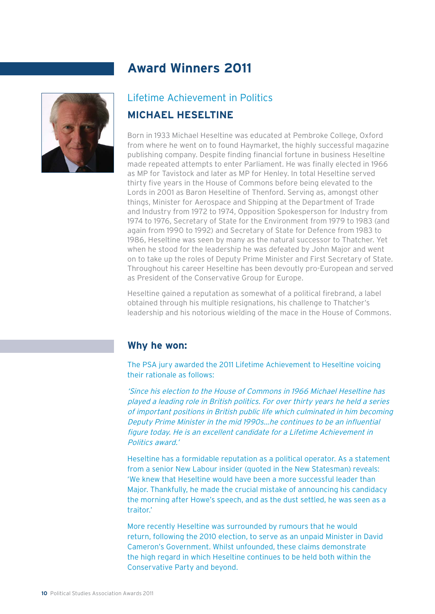

## Lifetime Achievement in Politics

## **MICHAEL HESELTINE**

Born in 1933 Michael Heseltine was educated at Pembroke College, Oxford from where he went on to found Haymarket, the highly successful magazine publishing company. Despite finding financial fortune in business Heseltine made repeated attempts to enter Parliament. He was finally elected in 1966 as MP for Tavistock and later as MP for Henley. In total Heseltine served thirty five years in the House of Commons before being elevated to the Lords in 2001 as Baron Heseltine of Thenford. Serving as, amongst other things, Minister for Aerospace and Shipping at the Department of Trade and Industry from 1972 to 1974, Opposition Spokesperson for Industry from 1974 to 1976, Secretary of State for the Environment from 1979 to 1983 (and again from 1990 to 1992) and Secretary of State for Defence from 1983 to 1986, Heseltine was seen by many as the natural successor to Thatcher. Yet when he stood for the leadership he was defeated by John Major and went on to take up the roles of Deputy Prime Minister and First Secretary of State. Throughout his career Heseltine has been devoutly pro-European and served as President of the Conservative Group for Europe.

Heseltine gained a reputation as somewhat of a political firebrand, a label obtained through his multiple resignations, his challenge to Thatcher's leadership and his notorious wielding of the mace in the House of Commons.

#### **Why he won:**

The PSA jury awarded the 2011 Lifetime Achievement to Heseltine voicing their rationale as follows:

'Since his election to the House of Commons in 1966 Michael Heseltine has played a leading role in British politics. For over thirty years he held a series of important positions in British public life which culminated in him becoming Deputy Prime Minister in the mid 1990s...he continues to be an influential figure today. He is an excellent candidate for a Lifetime Achievement in Politics award.'

Heseltine has a formidable reputation as a political operator. As a statement from a senior New Labour insider (quoted in the New Statesman) reveals: 'We knew that Heseltine would have been a more successful leader than Major. Thankfully, he made the crucial mistake of announcing his candidacy the morning after Howe's speech, and as the dust settled, he was seen as a traitor.'

More recently Heseltine was surrounded by rumours that he would return, following the 2010 election, to serve as an unpaid Minister in David Cameron's Government. Whilst unfounded, these claims demonstrate the high regard in which Heseltine continues to be held both within the Conservative Party and beyond.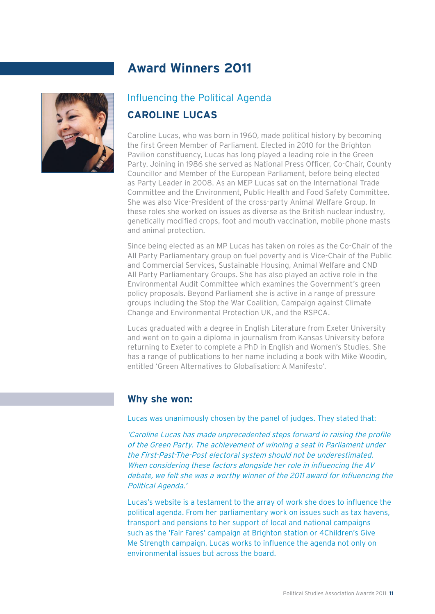

## Influencing the Political Agenda **CAROLINE LUCAS**

Caroline Lucas, who was born in 1960, made political history by becoming the first Green Member of Parliament. Elected in 2010 for the Brighton Pavilion constituency, Lucas has long played a leading role in the Green Party. Joining in 1986 she served as National Press Officer, Co-Chair, County Councillor and Member of the European Parliament, before being elected as Party Leader in 2008. As an MEP Lucas sat on the International Trade Committee and the Environment, Public Health and Food Safety Committee. She was also Vice-President of the cross-party Animal Welfare Group. In these roles she worked on issues as diverse as the British nuclear industry, genetically modified crops, foot and mouth vaccination, mobile phone masts and animal protection.

Since being elected as an MP Lucas has taken on roles as the Co-Chair of the All Party Parliamentary group on fuel poverty and is Vice-Chair of the Public and Commercial Services, Sustainable Housing, Animal Welfare and CND All Party Parliamentary Groups. She has also played an active role in the Environmental Audit Committee which examines the Government's green policy proposals. Beyond Parliament she is active in a range of pressure groups including the Stop the War Coalition, Campaign against Climate Change and Environmental Protection UK, and the RSPCA.

Lucas graduated with a degree in English Literature from Exeter University and went on to gain a diploma in journalism from Kansas University before returning to Exeter to complete a PhD in English and Women's Studies. She has a range of publications to her name including a book with Mike Woodin, entitled 'Green Alternatives to Globalisation: A Manifesto'.

#### **Why she won:**

Lucas was unanimously chosen by the panel of judges. They stated that:

'Caroline Lucas has made unprecedented steps forward in raising the profile of the Green Party. The achievement of winning a seat in Parliament under the First-Past-The-Post electoral system should not be underestimated. When considering these factors alongside her role in influencing the AV debate, we felt she was a worthy winner of the 2011 award for Influencing the Political Agenda.'

Lucas's website is a testament to the array of work she does to influence the political agenda. From her parliamentary work on issues such as tax havens, transport and pensions to her support of local and national campaigns such as the 'Fair Fares' campaign at Brighton station or 4Children's Give Me Strength campaign, Lucas works to influence the agenda not only on environmental issues but across the board.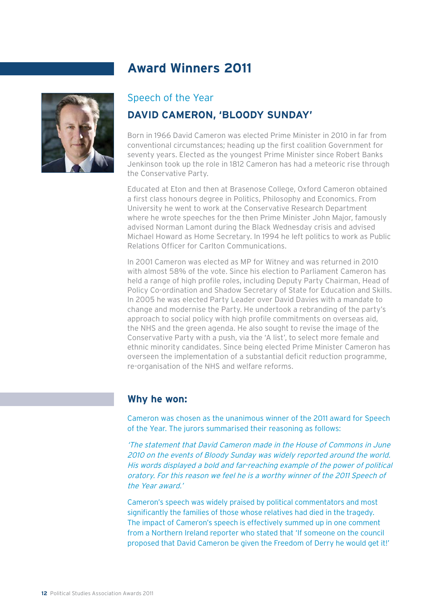

#### Speech of the Year

## **DAVID CAMERON, 'BLOODY SUNDAY'**

Born in 1966 David Cameron was elected Prime Minister in 2010 in far from conventional circumstances; heading up the first coalition Government for seventy years. Elected as the youngest Prime Minister since Robert Banks Jenkinson took up the role in 1812 Cameron has had a meteoric rise through the Conservative Party.

Educated at Eton and then at Brasenose College, Oxford Cameron obtained a first class honours degree in Politics, Philosophy and Economics. From University he went to work at the Conservative Research Department where he wrote speeches for the then Prime Minister John Major, famously advised Norman Lamont during the Black Wednesday crisis and advised Michael Howard as Home Secretary. In 1994 he left politics to work as Public Relations Officer for Carlton Communications.

In 2001 Cameron was elected as MP for Witney and was returned in 2010 with almost 58% of the vote. Since his election to Parliament Cameron has held a range of high profile roles, including Deputy Party Chairman, Head of Policy Co-ordination and Shadow Secretary of State for Education and Skills. In 2005 he was elected Party Leader over David Davies with a mandate to change and modernise the Party. He undertook a rebranding of the party's approach to social policy with high profile commitments on overseas aid, the NHS and the green agenda. He also sought to revise the image of the Conservative Party with a push, via the 'A list', to select more female and ethnic minority candidates. Since being elected Prime Minister Cameron has overseen the implementation of a substantial deficit reduction programme, re-organisation of the NHS and welfare reforms.

#### **Why he won:**

Cameron was chosen as the unanimous winner of the 2011 award for Speech of the Year. The jurors summarised their reasoning as follows:

'The statement that David Cameron made in the House of Commons in June 2010 on the events of Bloody Sunday was widely reported around the world. His words displayed a bold and far-reaching example of the power of political oratory. For this reason we feel he is a worthy winner of the 2011 Speech of the Year award.'

Cameron's speech was widely praised by political commentators and most significantly the families of those whose relatives had died in the tragedy. The impact of Cameron's speech is effectively summed up in one comment from a Northern Ireland reporter who stated that 'If someone on the council proposed that David Cameron be given the Freedom of Derry he would get it!'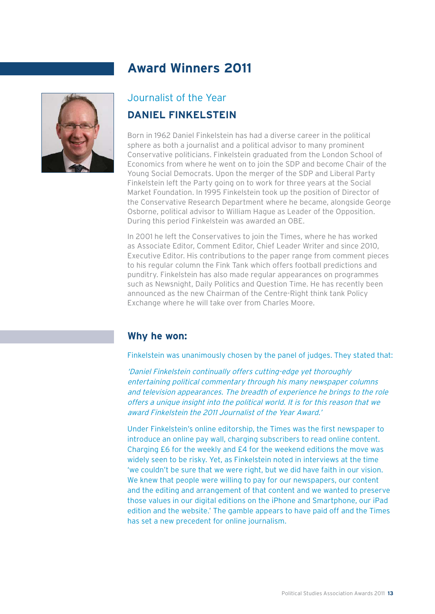

## Journalist of the Year **DANIEL FINKELSTEIN**

Born in 1962 Daniel Finkelstein has had a diverse career in the political sphere as both a journalist and a political advisor to many prominent Conservative politicians. Finkelstein graduated from the London School of Economics from where he went on to join the SDP and become Chair of the Young Social Democrats. Upon the merger of the SDP and Liberal Party Finkelstein left the Party going on to work for three years at the Social Market Foundation. In 1995 Finkelstein took up the position of Director of the Conservative Research Department where he became, alongside George Osborne, political advisor to William Hague as Leader of the Opposition. During this period Finkelstein was awarded an OBE.

In 2001 he left the Conservatives to join the Times, where he has worked as Associate Editor, Comment Editor, Chief Leader Writer and since 2010, Executive Editor. His contributions to the paper range from comment pieces to his regular column the Fink Tank which offers football predictions and punditry. Finkelstein has also made regular appearances on programmes such as Newsnight, Daily Politics and Question Time. He has recently been announced as the new Chairman of the Centre-Right think tank Policy Exchange where he will take over from Charles Moore.

## **Why he won:**

Finkelstein was unanimously chosen by the panel of judges. They stated that:

'Daniel Finkelstein continually offers cutting-edge yet thoroughly entertaining political commentary through his many newspaper columns and television appearances. The breadth of experience he brings to the role offers a unique insight into the political world. It is for this reason that we award Finkelstein the 2011 Journalist of the Year Award.'

Under Finkelstein's online editorship, the Times was the first newspaper to introduce an online pay wall, charging subscribers to read online content. Charging £6 for the weekly and £4 for the weekend editions the move was widely seen to be risky. Yet, as Finkelstein noted in interviews at the time 'we couldn't be sure that we were right, but we did have faith in our vision. We knew that people were willing to pay for our newspapers, our content and the editing and arrangement of that content and we wanted to preserve those values in our digital editions on the iPhone and Smartphone, our iPad edition and the website.' The gamble appears to have paid off and the Times has set a new precedent for online journalism.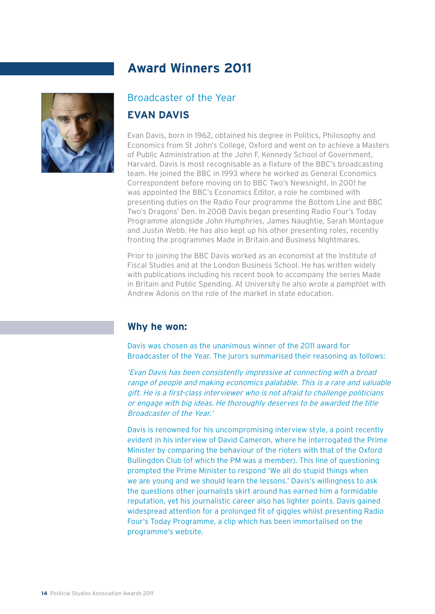

## Broadcaster of the Year

#### **EVAN DAVIS**

Evan Davis, born in 1962, obtained his degree in Politics, Philosophy and Economics from St John's College, Oxford and went on to achieve a Masters of Public Administration at the John F. Kennedy School of Government, Harvard. Davis is most recognisable as a fixture of the BBC's broadcasting team. He joined the BBC in 1993 where he worked as General Economics Correspondent before moving on to BBC Two's Newsnight. In 2001 he was appointed the BBC's Economics Editor, a role he combined with presenting duties on the Radio Four programme the Bottom Line and BBC Two's Dragons' Den. In 2008 Davis began presenting Radio Four's Today Programme alongside John Humphries, James Naughtie, Sarah Montague and Justin Webb. He has also kept up his other presenting roles, recently fronting the programmes Made in Britain and Business Nightmares.

Prior to joining the BBC Davis worked as an economist at the Institute of Fiscal Studies and at the London Business School. He has written widely with publications including his recent book to accompany the series Made in Britain and Public Spending. At University he also wrote a pamphlet with Andrew Adonis on the role of the market in state education.

#### **Why he won:**

Davis was chosen as the unanimous winner of the 2011 award for Broadcaster of the Year. The jurors summarised their reasoning as follows:

'Evan Davis has been consistently impressive at connecting with a broad range of people and making economics palatable. This is a rare and valuable gift. He is a first-class interviewer who is not afraid to challenge politicians or engage with big ideas. He thoroughly deserves to be awarded the title Broadcaster of the Year.'

Davis is renowned for his uncompromising interview style, a point recently evident in his interview of David Cameron, where he interrogated the Prime Minister by comparing the behaviour of the rioters with that of the Oxford Bullingdon Club (of which the PM was a member). This line of questioning prompted the Prime Minister to respond 'We all do stupid things when we are young and we should learn the lessons.' Davis's willingness to ask the questions other journalists skirt around has earned him a formidable reputation, yet his journalistic career also has lighter points. Davis gained widespread attention for a prolonged fit of giggles whilst presenting Radio Four's Today Programme, a clip which has been immortalised on the programme's website.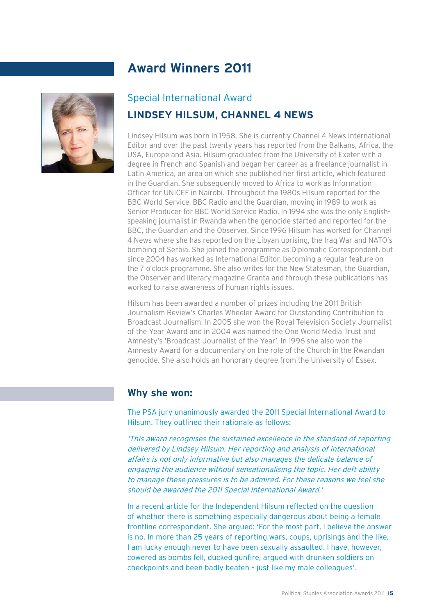

#### Special International Award

## **LINDSEY HILSUM, CHANNEL 4 NEWS**

Lindsey Hilsum was born in 1958. She is currently Channel 4 News International Editor and over the past twenty years has reported from the Balkans, Africa, the USA, Europe and Asia. Hilsum graduated from the University of Exeter with a degree in French and Spanish and began her career as a freelance journalist in Latin America, an area on which she published her first article, which featured in the Guardian. She subsequently moved to Africa to work as Information Officer for UNICEF in Nairobi. Throughout the 1980s Hilsum reported for the BBC World Service, BBC Radio and the Guardian, moving in 1989 to work as Senior Producer for BBC World Service Radio. In 1994 she was the only Englishspeaking journalist in Rwanda when the genocide started and reported for the BBC, the Guardian and the Observer. Since 1996 Hilsum has worked for Channel 4 News where she has reported on the Libyan uprising, the Iraq War and NATO's bombing of Serbia. She joined the programme as Diplomatic Correspondent, but since 2004 has worked as International Editor, becoming a regular feature on the 7 o'clock programme. She also writes for the New Statesman, the Guardian, the Observer and literary magazine Granta and through these publications has worked to raise awareness of human rights issues.

Hilsum has been awarded a number of prizes including the 2011 British Journalism Review's Charles Wheeler Award for Outstanding Contribution to Broadcast Journalism. In 2005 she won the Royal Television Society Journalist of the Year Award and in 2004 was named the One World Media Trust and Amnesty's 'Broadcast Journalist of the Year'. In 1996 she also won the Amnesty Award for a documentary on the role of the Church in the Rwandan genocide. She also holds an honorary degree from the University of Essex.

#### **Why she won:**

The PSA jury unanimously awarded the 2011 Special International Award to Hilsum. They outlined their rationale as follows:

'This award recognises the sustained excellence in the standard of reporting delivered by Lindsey Hilsum. Her reporting and analysis of international affairs is not only informative but also manages the delicate balance of engaging the audience without sensationalising the topic. Her deft ability to manage these pressures is to be admired. For these reasons we feel she should be awarded the 2011 Special International Award.'

In a recent article for the Independent Hilsum reflected on the question of whether there is something especially dangerous about being a female frontline correspondent. She argued: 'For the most part, I believe the answer is no. In more than 25 years of reporting wars, coups, uprisings and the like, I am lucky enough never to have been sexually assaulted. I have, however, cowered as bombs fell, ducked gunfire, argued with drunken soldiers on checkpoints and been badly beaten – just like my male colleagues'.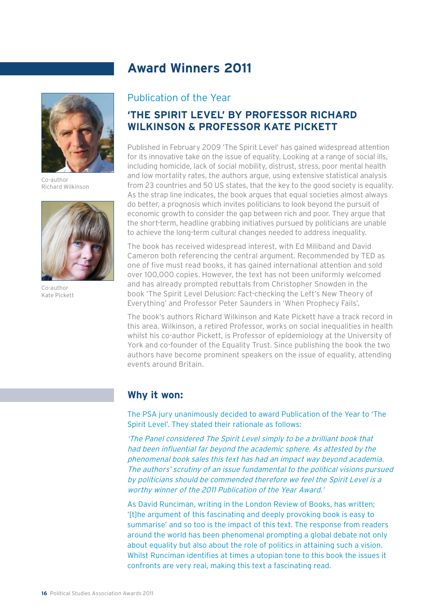

Co-author Richard Wilkinson



Co-author Kate Pickett

#### Publication of the Year

## **'THE SPIRIT LEVEL' BY PROFESSOR RICHARD WILKINSON & PROFESSOR KATE PICKETT**

Published in February 2009 'The Spirit Level' has gained widespread attention for its innovative take on the issue of equality. Looking at a range of social ills, including homicide, lack of social mobility, distrust, stress, poor mental health and low mortality rates, the authors argue, using extensive statistical analysis from 23 countries and 50 US states, that the key to the good society is equality. As the strap line indicates, the book argues that equal societies almost always do better, a prognosis which invites politicians to look beyond the pursuit of economic growth to consider the gap between rich and poor. They argue that the short-term, headline grabbing initiatives pursued by politicians are unable to achieve the long-term cultural changes needed to address inequality.

The book has received widespread interest, with Ed Miliband and David Cameron both referencing the central argument. Recommended by TED as one of five must read books, it has gained international attention and sold over 100,000 copies. However, the text has not been uniformly welcomed and has already prompted rebuttals from Christopher Snowden in the book 'The Spirit Level Delusion: Fact-checking the Left's New Theory of Everything' and Professor Peter Saunders in 'When Prophecy Fails'.

The book's authors Richard Wilkinson and Kate Pickett have a track record in this area. Wilkinson, a retired Professor, works on social inequalities in health whilst his co-author Pickett, is Professor of epidemiology at the University of York and co-founder of the Equality Trust. Since publishing the book the two authors have become prominent speakers on the issue of equality, attending events around Britain.

## **Why it won:**

The PSA jury unanimously decided to award Publication of the Year to 'The Spirit Level'. They stated their rationale as follows:

'The Panel considered The Spirit Level simply to be a brilliant book that had been influential far beyond the academic sphere. As attested by the phenomenal book sales this text has had an impact way beyond academia. The authors' scrutiny of an issue fundamental to the political visions pursued by politicians should be commended therefore we feel the Spirit Level is a worthy winner of the 2011 Publication of the Year Award.'

As David Runciman, writing in the London Review of Books, has written; '[t]he argument of this fascinating and deeply provoking book is easy to summarise' and so too is the impact of this text. The response from readers around the world has been phenomenal prompting a global debate not only about equality but also about the role of politics in attaining such a vision. Whilst Runciman identifies at times a utopian tone to this book the issues it confronts are very real, making this text a fascinating read.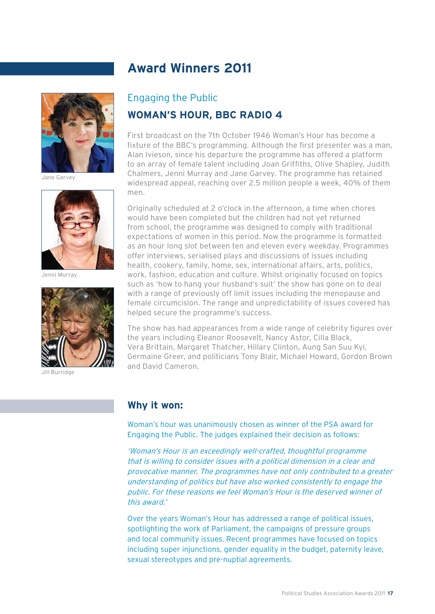

Jane Garvey



Jenni Murray



Burridge

## Engaging the Public **WOMAN'S HOUR, BBC RADIO 4**

First broadcast on the 7th October 1946 Woman's Hour has become a fixture of the BBC's programming. Although the first presenter was a man. Alan Ivieson, since his departure the programme has offered a platform to an array of female talent including Joan Griffiths, Olive Shapley, Judith Chalmers, Jenni Murray and Jane Garvey. The programme has retained widespread appeal, reaching over 2.5 million people a week, 40% of them men.

Originally scheduled at 2 o'clock in the afternoon, a time when chores would have been completed but the children had not yet returned from school, the programme was designed to comply with traditional expectations of women in this period. Now the programme is formatted as an hour long slot between ten and eleven every weekday. Programmes offer interviews, serialised plays and discussions of issues including health, cookery, family, home, sex, international affairs, arts, politics, work, fashion, education and culture. Whilst originally focused on topics such as 'how to hang your husband's suit' the show has gone on to deal with a range of previously off limit issues including the menopause and female circumcision. The range and unpredictability of issues covered has helped secure the programme's success.

The show has had appearances from a wide range of celebrity figures over the years including Eleanor Roosevelt, Nancy Astor, Cilla Black, Vera Brittain, Margaret Thatcher, Hillary Clinton, Aung San Suu Kyi, Germaine Greer, and politicians Tony Blair, Michael Howard, Gordon Brown and David Cameron.

#### **Why it won:**

Woman's hour was unanimously chosen as winner of the PSA award for Engaging the Public. The judges explained their decision as follows:

'Woman's Hour is an exceedingly well-crafted, thoughtful programme that is willing to consider issues with a political dimension in a clear and provocative manner. The programmes have not only contributed to a greater understanding of politics but have also worked consistently to engage the public. For these reasons we feel Woman's Hour is the deserved winner of this award.'

Over the years Woman's Hour has addressed a range of political issues, spotlighting the work of Parliament, the campaigns of pressure groups and local community issues. Recent programmes have focused on topics including super injunctions, gender equality in the budget, paternity leave, sexual stereotypes and pre-nuptial agreements.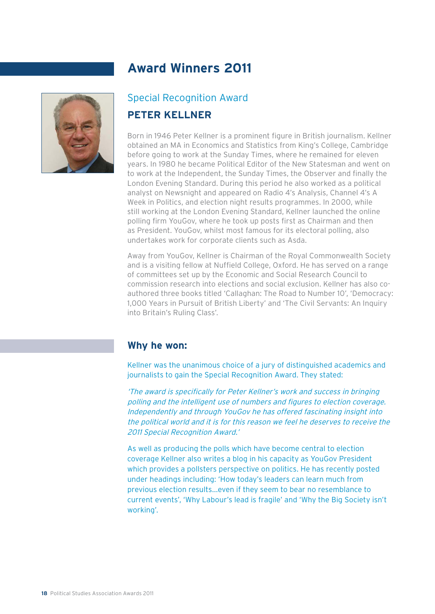

## Special Recognition Award **PETER KELLNER**

Born in 1946 Peter Kellner is a prominent figure in British journalism. Kellner obtained an MA in Economics and Statistics from King's College, Cambridge before going to work at the Sunday Times, where he remained for eleven years. In 1980 he became Political Editor of the New Statesman and went on to work at the Independent, the Sunday Times, the Observer and finally the London Evening Standard. During this period he also worked as a political analyst on Newsnight and appeared on Radio 4's Analysis, Channel 4's A Week in Politics, and election night results programmes. In 2000, while still working at the London Evening Standard, Kellner launched the online polling firm YouGov, where he took up posts first as Chairman and then as President. YouGov, whilst most famous for its electoral polling, also undertakes work for corporate clients such as Asda.

Away from YouGov, Kellner is Chairman of the Royal Commonwealth Society and is a visiting fellow at Nuffield College, Oxford. He has served on a range of committees set up by the Economic and Social Research Council to commission research into elections and social exclusion. Kellner has also coauthored three books titled 'Callaghan: The Road to Number 10', 'Democracy: 1,000 Years in Pursuit of British Liberty' and 'The Civil Servants: An Inquiry into Britain's Ruling Class'.

#### **Why he won:**

Kellner was the unanimous choice of a jury of distinguished academics and journalists to gain the Special Recognition Award. They stated:

'The award is specifically for Peter Kellner's work and success in bringing polling and the intelligent use of numbers and figures to election coverage. Independently and through YouGov he has offered fascinating insight into the political world and it is for this reason we feel he deserves to receive the 2011 Special Recognition Award.'

As well as producing the polls which have become central to election coverage Kellner also writes a blog in his capacity as YouGov President which provides a pollsters perspective on politics. He has recently posted under headings including: 'How today's leaders can learn much from previous election results...even if they seem to bear no resemblance to current events', 'Why Labour's lead is fragile' and 'Why the Big Society isn't working'.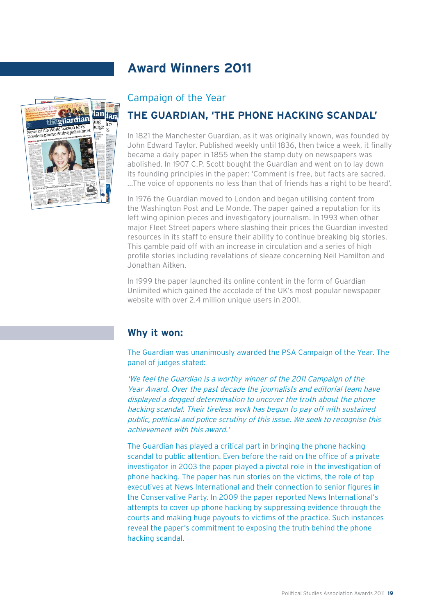

#### Campaign of the Year

## **THE GUARDIAN, 'THE PHONE HACKING SCANDAL'**

In 1821 the Manchester Guardian, as it was originally known, was founded by John Edward Taylor. Published weekly until 1836, then twice a week, it finally became a daily paper in 1855 when the stamp duty on newspapers was abolished. In 1907 C.P. Scott bought the Guardian and went on to lay down its founding principles in the paper: 'Comment is free, but facts are sacred. ...The voice of opponents no less than that of friends has a right to be heard'.

In 1976 the Guardian moved to London and began utilising content from the Washington Post and Le Monde. The paper gained a reputation for its left wing opinion pieces and investigatory journalism. In 1993 when other major Fleet Street papers where slashing their prices the Guardian invested resources in its staff to ensure their ability to continue breaking big stories. This gamble paid off with an increase in circulation and a series of high profile stories including revelations of sleaze concerning Neil Hamilton and Jonathan Aitken.

In 1999 the paper launched its online content in the form of Guardian Unlimited which gained the accolade of the UK's most popular newspaper website with over 2.4 million unique users in 2001.

## **Why it won:**

The Guardian was unanimously awarded the PSA Campaign of the Year. The panel of judges stated:

'We feel the Guardian is a worthy winner of the 2011 Campaign of the Year Award. Over the past decade the journalists and editorial team have displayed a dogged determination to uncover the truth about the phone hacking scandal. Their tireless work has begun to pay off with sustained public, political and police scrutiny of this issue. We seek to recognise this achievement with this award.'

The Guardian has played a critical part in bringing the phone hacking scandal to public attention. Even before the raid on the office of a private investigator in 2003 the paper played a pivotal role in the investigation of phone hacking. The paper has run stories on the victims, the role of top executives at News International and their connection to senior figures in the Conservative Party. In 2009 the paper reported News International's attempts to cover up phone hacking by suppressing evidence through the courts and making huge payouts to victims of the practice. Such instances reveal the paper's commitment to exposing the truth behind the phone hacking scandal.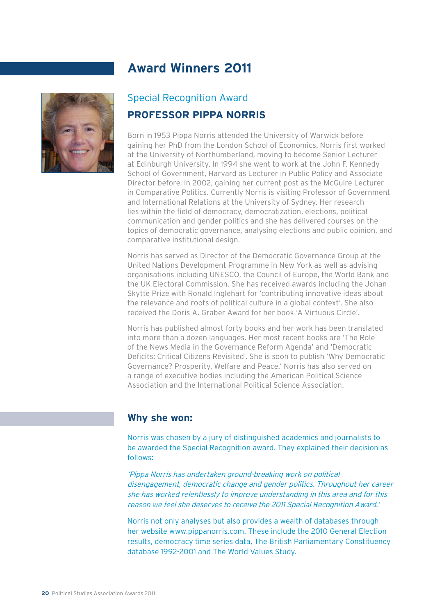

## Special Recognition Award **PROFESSOR PIPPA NORRIS**

Born in 1953 Pippa Norris attended the University of Warwick before gaining her PhD from the London School of Economics. Norris first worked at the University of Northumberland, moving to become Senior Lecturer at Edinburgh University. In 1994 she went to work at the John F. Kennedy School of Government, Harvard as Lecturer in Public Policy and Associate Director before, in 2002, gaining her current post as the McGuire Lecturer in Comparative Politics. Currently Norris is visiting Professor of Government and International Relations at the University of Sydney. Her research lies within the field of democracy, democratization, elections, political communication and gender politics and she has delivered courses on the topics of democratic governance, analysing elections and public opinion, and comparative institutional design.

Norris has served as Director of the Democratic Governance Group at the United Nations Development Programme in New York as well as advising organisations including UNESCO, the Council of Europe, the World Bank and the UK Electoral Commission. She has received awards including the Johan Skytte Prize with Ronald Inglehart for 'contributing innovative ideas about the relevance and roots of political culture in a global context'. She also received the Doris A. Graber Award for her book 'A Virtuous Circle'.

Norris has published almost forty books and her work has been translated into more than a dozen languages. Her most recent books are 'The Role of the News Media in the Governance Reform Agenda' and 'Democratic Deficits: Critical Citizens Revisited'. She is soon to publish 'Why Democratic Governance? Prosperity, Welfare and Peace.' Norris has also served on a range of executive bodies including the American Political Science Association and the International Political Science Association.

#### **Why she won:**

Norris was chosen by a jury of distinguished academics and journalists to be awarded the Special Recognition award. They explained their decision as follows:

'Pippa Norris has undertaken ground-breaking work on political disengagement, democratic change and gender politics. Throughout her career she has worked relentlessly to improve understanding in this area and for this reason we feel she deserves to receive the 2011 Special Recognition Award.'

Norris not only analyses but also provides a wealth of databases through her website www.pippanorris.com. These include the 2010 General Election results, democracy time series data, The British Parliamentary Constituency database 1992-2001 and The World Values Study.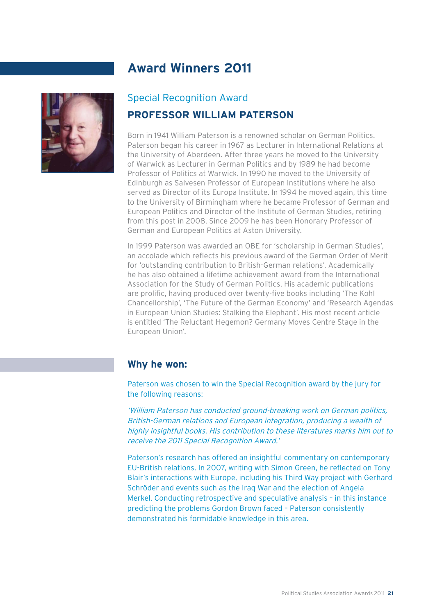

## Special Recognition Award

#### **PROFESSOR WILLIAM PATERSON**

Born in 1941 William Paterson is a renowned scholar on German Politics. Paterson began his career in 1967 as Lecturer in International Relations at the University of Aberdeen. After three years he moved to the University of Warwick as Lecturer in German Politics and by 1989 he had become Professor of Politics at Warwick. In 1990 he moved to the University of Edinburgh as Salvesen Professor of European Institutions where he also served as Director of its Europa Institute. In 1994 he moved again, this time to the University of Birmingham where he became Professor of German and European Politics and Director of the Institute of German Studies, retiring from this post in 2008. Since 2009 he has been Honorary Professor of German and European Politics at Aston University.

In 1999 Paterson was awarded an OBE for 'scholarship in German Studies', an accolade which reflects his previous award of the German Order of Merit for 'outstanding contribution to British-German relations'. Academically he has also obtained a lifetime achievement award from the International Association for the Study of German Politics. His academic publications are prolific, having produced over twenty-five books including 'The Kohl Chancellorship', 'The Future of the German Economy' and 'Research Agendas in European Union Studies: Stalking the Elephant'. His most recent article is entitled 'The Reluctant Hegemon? Germany Moves Centre Stage in the European Union'.

#### **Why he won:**

Paterson was chosen to win the Special Recognition award by the jury for the following reasons:

'William Paterson has conducted ground-breaking work on German politics, British-German relations and European integration, producing a wealth of highly insightful books. His contribution to these literatures marks him out to receive the 2011 Special Recognition Award.'

Paterson's research has offered an insightful commentary on contemporary EU-British relations. In 2007, writing with Simon Green, he reflected on Tony Blair's interactions with Europe, including his Third Way project with Gerhard Schröder and events such as the Iraq War and the election of Angela Merkel. Conducting retrospective and speculative analysis – in this instance predicting the problems Gordon Brown faced – Paterson consistently demonstrated his formidable knowledge in this area.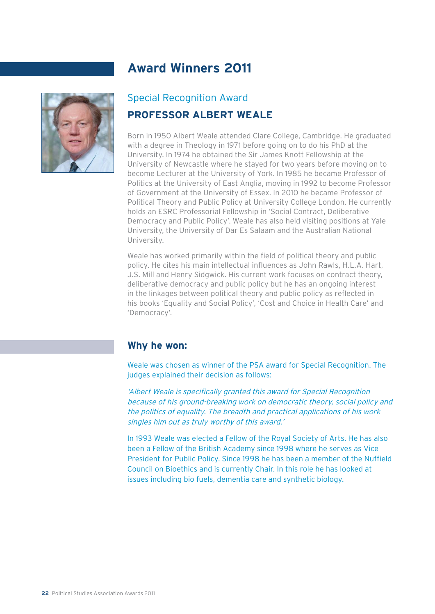

## Special Recognition Award **PROFESSOR ALBERT WEALE**

Born in 1950 Albert Weale attended Clare College, Cambridge. He graduated with a degree in Theology in 1971 before going on to do his PhD at the University. In 1974 he obtained the Sir James Knott Fellowship at the University of Newcastle where he stayed for two years before moving on to become Lecturer at the University of York. In 1985 he became Professor of Politics at the University of East Anglia, moving in 1992 to become Professor of Government at the University of Essex. In 2010 he became Professor of Political Theory and Public Policy at University College London. He currently holds an ESRC Professorial Fellowship in 'Social Contract, Deliberative Democracy and Public Policy'. Weale has also held visiting positions at Yale University, the University of Dar Es Salaam and the Australian National University.

Weale has worked primarily within the field of political theory and public policy. He cites his main intellectual influences as John Rawls, H.L.A. Hart, J.S. Mill and Henry Sidgwick. His current work focuses on contract theory, deliberative democracy and public policy but he has an ongoing interest in the linkages between political theory and public policy as reflected in his books 'Equality and Social Policy', 'Cost and Choice in Health Care' and 'Democracy'.

#### **Why he won:**

Weale was chosen as winner of the PSA award for Special Recognition. The judges explained their decision as follows:

'Albert Weale is specifically granted this award for Special Recognition because of his ground-breaking work on democratic theory, social policy and the politics of equality. The breadth and practical applications of his work singles him out as truly worthy of this award.'

In 1993 Weale was elected a Fellow of the Royal Society of Arts. He has also been a Fellow of the British Academy since 1998 where he serves as Vice President for Public Policy. Since 1998 he has been a member of the Nuffield Council on Bioethics and is currently Chair. In this role he has looked at issues including bio fuels, dementia care and synthetic biology.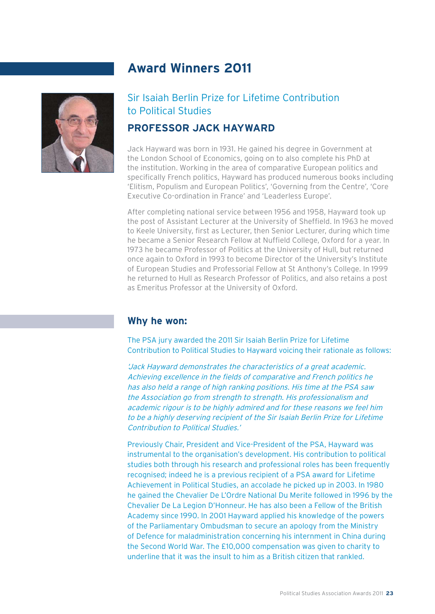

## Sir Isaiah Berlin Prize for Lifetime Contribution to Political Studies

#### **PROFESSOR JACK HAYWARD**

Jack Hayward was born in 1931. He gained his degree in Government at the London School of Economics, going on to also complete his PhD at the institution. Working in the area of comparative European politics and specifically French politics, Hayward has produced numerous books including 'Elitism, Populism and European Politics', 'Governing from the Centre', 'Core Executive Co-ordination in France' and 'Leaderless Europe'.

After completing national service between 1956 and 1958, Hayward took up the post of Assistant Lecturer at the University of Sheffield. In 1963 he moved to Keele University, first as Lecturer, then Senior Lecturer, during which time he became a Senior Research Fellow at Nuffield College, Oxford for a year. In 1973 he became Professor of Politics at the University of Hull, but returned once again to Oxford in 1993 to become Director of the University's Institute of European Studies and Professorial Fellow at St Anthony's College. In 1999 he returned to Hull as Research Professor of Politics, and also retains a post as Emeritus Professor at the University of Oxford.

#### **Why he won:**

The PSA jury awarded the 2011 Sir Isaiah Berlin Prize for Lifetime Contribution to Political Studies to Hayward voicing their rationale as follows:

'Jack Hayward demonstrates the characteristics of a great academic. Achieving excellence in the fields of comparative and French politics he has also held a range of high ranking positions. His time at the PSA saw the Association go from strength to strength. His professionalism and academic rigour is to be highly admired and for these reasons we feel him to be a highly deserving recipient of the Sir Isaiah Berlin Prize for Lifetime Contribution to Political Studies.'

Previously Chair, President and Vice-President of the PSA, Hayward was instrumental to the organisation's development. His contribution to political studies both through his research and professional roles has been frequently recognised; indeed he is a previous recipient of a PSA award for Lifetime Achievement in Political Studies, an accolade he picked up in 2003. In 1980 he gained the Chevalier De L'Ordre National Du Merite followed in 1996 by the Chevalier De La Legion D'Honneur. He has also been a Fellow of the British Academy since 1990. In 2001 Hayward applied his knowledge of the powers of the Parliamentary Ombudsman to secure an apology from the Ministry of Defence for maladministration concerning his internment in China during the Second World War. The £10,000 compensation was given to charity to underline that it was the insult to him as a British citizen that rankled.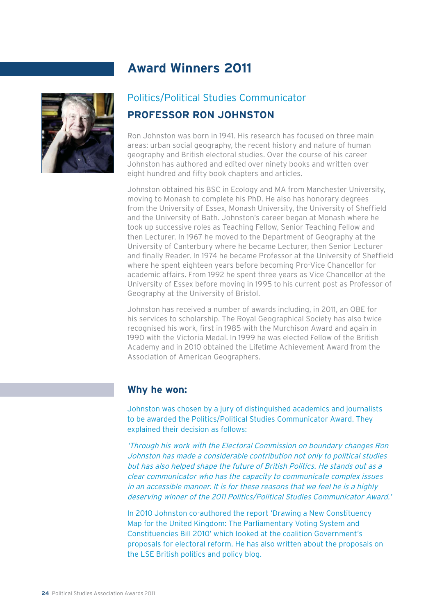

## Politics/Political Studies Communicator **PROFESSOR RON JOHNSTON**

Ron Johnston was born in 1941. His research has focused on three main areas: urban social geography, the recent history and nature of human geography and British electoral studies. Over the course of his career Johnston has authored and edited over ninety books and written over eight hundred and fifty book chapters and articles.

Johnston obtained his BSC in Ecology and MA from Manchester University, moving to Monash to complete his PhD. He also has honorary degrees from the University of Essex, Monash University, the University of Sheffield and the University of Bath. Johnston's career began at Monash where he took up successive roles as Teaching Fellow, Senior Teaching Fellow and then Lecturer. In 1967 he moved to the Department of Geography at the University of Canterbury where he became Lecturer, then Senior Lecturer and finally Reader. In 1974 he became Professor at the University of Sheffield where he spent eighteen years before becoming Pro-Vice Chancellor for academic affairs. From 1992 he spent three years as Vice Chancellor at the University of Essex before moving in 1995 to his current post as Professor of Geography at the University of Bristol.

Johnston has received a number of awards including, in 2011, an OBE for his services to scholarship. The Royal Geographical Society has also twice recognised his work, first in 1985 with the Murchison Award and again in 1990 with the Victoria Medal. In 1999 he was elected Fellow of the British Academy and in 2010 obtained the Lifetime Achievement Award from the Association of American Geographers.

#### **Why he won:**

Johnston was chosen by a jury of distinguished academics and journalists to be awarded the Politics/Political Studies Communicator Award. They explained their decision as follows:

'Through his work with the Electoral Commission on boundary changes Ron Johnston has made a considerable contribution not only to political studies but has also helped shape the future of British Politics. He stands out as a clear communicator who has the capacity to communicate complex issues in an accessible manner. It is for these reasons that we feel he is a highly deserving winner of the 2011 Politics/Political Studies Communicator Award.'

In 2010 Johnston co-authored the report 'Drawing a New Constituency Map for the United Kingdom: The Parliamentary Voting System and Constituencies Bill 2010' which looked at the coalition Government's proposals for electoral reform. He has also written about the proposals on the LSE British politics and policy blog.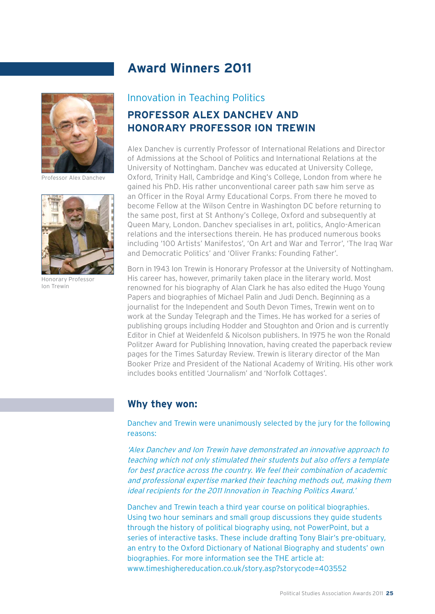

Professor Alex Danchev



Honorary Professor Ion Trewin

## Innovation in Teaching Politics

## **PROFESSOR ALEX DANCHEV AND HONORARY PROFESSOR ION TREWIN**

Alex Danchev is currently Professor of International Relations and Director of Admissions at the School of Politics and International Relations at the University of Nottingham. Danchev was educated at University College, Oxford, Trinity Hall, Cambridge and King's College, London from where he gained his PhD. His rather unconventional career path saw him serve as an Officer in the Royal Army Educational Corps. From there he moved to become Fellow at the Wilson Centre in Washington DC before returning to the same post, first at St Anthony's College, Oxford and subsequently at Queen Mary, London. Danchev specialises in art, politics, Anglo-American relations and the intersections therein. He has produced numerous books including '100 Artists' Manifestos', 'On Art and War and Terror', 'The Iraq War and Democratic Politics' and 'Oliver Franks: Founding Father'.

Born in 1943 Ion Trewin is Honorary Professor at the University of Nottingham. His career has, however, primarily taken place in the literary world. Most renowned for his biography of Alan Clark he has also edited the Hugo Young Papers and biographies of Michael Palin and Judi Dench. Beginning as a journalist for the Independent and South Devon Times, Trewin went on to work at the Sunday Telegraph and the Times. He has worked for a series of publishing groups including Hodder and Stoughton and Orion and is currently Editor in Chief at Weidenfeld & Nicolson publishers. In 1975 he won the Ronald Politzer Award for Publishing Innovation, having created the paperback review pages for the Times Saturday Review. Trewin is literary director of the Man Booker Prize and President of the National Academy of Writing. His other work includes books entitled 'Journalism' and 'Norfolk Cottages'.

#### **Why they won:**

Danchev and Trewin were unanimously selected by the jury for the following reasons:

'Alex Danchev and Ion Trewin have demonstrated an innovative approach to teaching which not only stimulated their students but also offers a template for best practice across the country. We feel their combination of academic and professional expertise marked their teaching methods out, making them ideal recipients for the 2011 Innovation in Teaching Politics Award.'

Danchev and Trewin teach a third year course on political biographies. Using two hour seminars and small group discussions they guide students through the history of political biography using, not PowerPoint, but a series of interactive tasks. These include drafting Tony Blair's pre-obituary, an entry to the Oxford Dictionary of National Biography and students' own biographies. For more information see the THE article at: www.timeshighereducation.co.uk/story.asp?storycode=403552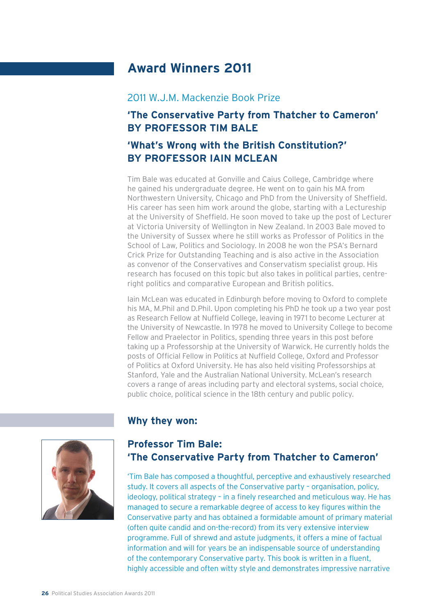#### 2011 W.J.M. Mackenzie Book Prize

## **'The Conservative Party from Thatcher to Cameron' BY PROFESSOR TIM BALE**

## **'What's Wrong with the British Constitution?' BY PROFESSOR IAIN MCLEAN**

Tim Bale was educated at Gonville and Caius College, Cambridge where he gained his undergraduate degree. He went on to gain his MA from Northwestern University, Chicago and PhD from the University of Sheffield. His career has seen him work around the globe, starting with a Lectureship at the University of Sheffield. He soon moved to take up the post of Lecturer at Victoria University of Wellington in New Zealand. In 2003 Bale moved to the University of Sussex where he still works as Professor of Politics in the School of Law, Politics and Sociology. In 2008 he won the PSA's Bernard Crick Prize for Outstanding Teaching and is also active in the Association as convenor of the Conservatives and Conservatism specialist group. His research has focused on this topic but also takes in political parties, centreright politics and comparative European and British politics.

Iain McLean was educated in Edinburgh before moving to Oxford to complete his MA, M.Phil and D.Phil. Upon completing his PhD he took up a two year post as Research Fellow at Nuffield College, leaving in 1971 to become Lecturer at the University of Newcastle. In 1978 he moved to University College to become Fellow and Praelector in Politics, spending three years in this post before taking up a Professorship at the University of Warwick. He currently holds the posts of Official Fellow in Politics at Nuffield College, Oxford and Professor of Politics at Oxford University. He has also held visiting Professorships at Stanford, Yale and the Australian National University. McLean's research covers a range of areas including party and electoral systems, social choice, public choice, political science in the 18th century and public policy.

#### **Why they won:**



## **Professor Tim Bale: 'The Conservative Party from Thatcher to Cameron'**

'Tim Bale has composed a thoughtful, perceptive and exhaustively researched study. It covers all aspects of the Conservative party – organisation, policy, ideology, political strategy - in a finely researched and meticulous way. He has managed to secure a remarkable degree of access to key figures within the Conservative party and has obtained a formidable amount of primary material (often quite candid and on-the-record) from its very extensive interview programme. Full of shrewd and astute judgments, it offers a mine of factual information and will for years be an indispensable source of understanding of the contemporary Conservative party. This book is written in a fluent, highly accessible and often witty style and demonstrates impressive narrative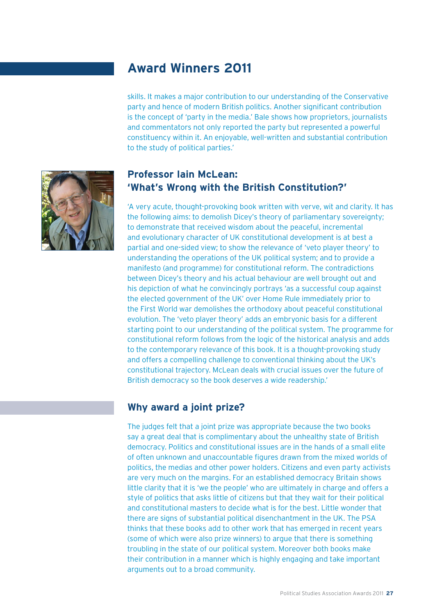skills. It makes a major contribution to our understanding of the Conservative party and hence of modern British politics. Another significant contribution is the concept of 'party in the media.' Bale shows how proprietors, journalists and commentators not only reported the party but represented a powerful constituency within it. An enjoyable, well-written and substantial contribution to the study of political parties.'



## **Professor Iain McLean: 'What's Wrong with the British Constitution?'**

'A very acute, thought-provoking book written with verve, wit and clarity. It has the following aims: to demolish Dicey's theory of parliamentary sovereignty; to demonstrate that received wisdom about the peaceful, incremental and evolutionary character of UK constitutional development is at best a partial and one-sided view; to show the relevance of 'veto player theory' to understanding the operations of the UK political system; and to provide a manifesto (and programme) for constitutional reform. The contradictions between Dicey's theory and his actual behaviour are well brought out and his depiction of what he convincingly portrays 'as a successful coup against the elected government of the UK' over Home Rule immediately prior to the First World war demolishes the orthodoxy about peaceful constitutional evolution. The 'veto player theory' adds an embryonic basis for a different starting point to our understanding of the political system. The programme for constitutional reform follows from the logic of the historical analysis and adds to the contemporary relevance of this book. It is a thought-provoking study and offers a compelling challenge to conventional thinking about the UK's constitutional trajectory. McLean deals with crucial issues over the future of British democracy so the book deserves a wide readership.'

#### **Why award a joint prize?**

The judges felt that a joint prize was appropriate because the two books say a great deal that is complimentary about the unhealthy state of British democracy. Politics and constitutional issues are in the hands of a small elite of often unknown and unaccountable figures drawn from the mixed worlds of politics, the medias and other power holders. Citizens and even party activists are very much on the margins. For an established democracy Britain shows little clarity that it is 'we the people' who are ultimately in charge and offers a style of politics that asks little of citizens but that they wait for their political and constitutional masters to decide what is for the best. Little wonder that there are signs of substantial political disenchantment in the UK. The PSA thinks that these books add to other work that has emerged in recent years (some of which were also prize winners) to argue that there is something troubling in the state of our political system. Moreover both books make their contribution in a manner which is highly engaging and take important arguments out to a broad community.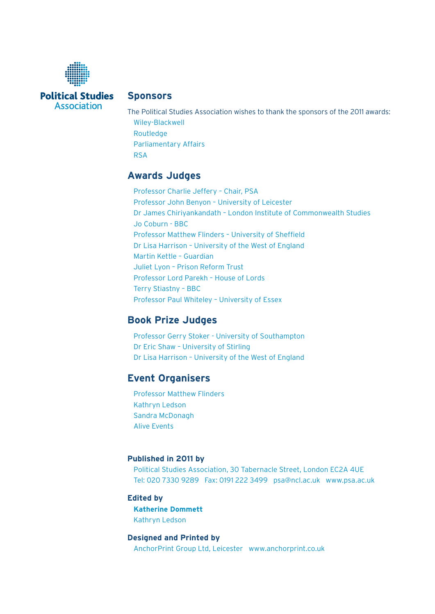

**Political Studies** Association

#### **Sponsors**

The Political Studies Association wishes to thank the sponsors of the 2011 awards: Wiley-Blackwell Routledge Parliamentary Affairs RSA

#### **Awards Judges**

Professor Charlie Jeffery – Chair, PSA Professor John Benyon – University of Leicester Dr James Chiriyankandath – London Institute of Commonwealth Studies Jo Coburn - BBC Professor Matthew Flinders - University of Sheffield Dr Lisa Harrison – University of the West of England Martin Kettle – Guardian Juliet Lyon – Prison Reform Trust Professor Lord Parekh – House of Lords Terry Stiastny – BBC Professor Paul Whiteley – University of Essex

#### **Book Prize Judges**

Professor Gerry Stoker - University of Southampton Dr Eric Shaw – University of Stirling Dr Lisa Harrison – University of the West of England

#### **Event Organisers**

Professor Matthew Flinders Kathryn Ledson Sandra McDonagh Alive Events

#### **Published in 2011 by**

Political Studies Association, 30 Tabernacle Street, London EC2A 4UE Tel: 020 7330 9289 Fax: 0191 222 3499 psa@ncl.ac.uk www.psa.ac.uk

#### **Edited by**

**Katherine Dommett** Kathryn Ledson

#### **Designed and Printed by**

AnchorPrint Group Ltd, Leicester www.anchorprint.co.uk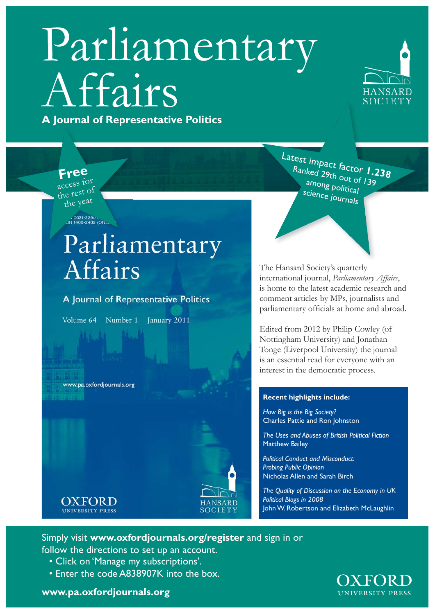## Parliamentary Affairs **A Journal of Representative Politics p**



**Free**

access for the rest of the year

, 0031-2290<br>JN 1460-2482 (ON∟

## Parliamentary Affairs

A Journal of Representative Politics

Volume 64 Number 1 January 2011

www.pa.oxfordjournals.org

**OXFORD** 

**UNIVERSITY PRESS** 



Latest impact factor **1.238** Ranked 29th out of 139 among political science journals

The Hansard Society's quarterly international journal, *Parliamentary Affairs*, is home to the latest academic research and comment articles by MPs, journalists and parliamentary officials at home and abroad.

Edited from 2012 by Philip Cowley (of Nottingham University) and Jonathan Tonge (Liverpool University) the journal is an essential read for everyone with an interest in the democratic process.

#### **Recent highlights include:**

*How Big is the Big Society?*  Charles Pattie and Ron Johnston

*The Uses and Abuses of British Political Fiction* Matthew Bailey

*Political Conduct and Misconduct: Probing Public Opinion*  Nicholas Allen and Sarah Birch

*The Quality of Discussion on the Economy in UK Political Blogs in 2008* John W. Robertson and Elizabeth McLaughlin

## Simply visit **www.oxfordjournals.org/register** and sign in or

follow the directions to set up an account.

- Click on 'Manage my subscriptions'.
- Enter the code A838907K into the box.

**OXFORD**<br>UNIVERSITY PRESS

**www.pa.oxfordjournals.org**